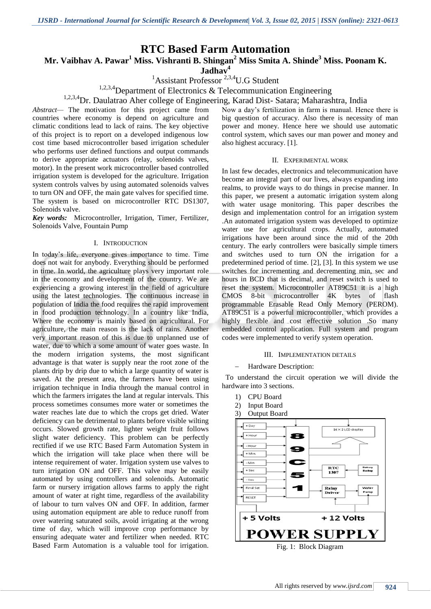## **RTC Based Farm Automation**

**Mr. Vaibhav A. Pawar<sup>1</sup> Miss. Vishranti B. Shingan<sup>2</sup> Miss Smita A. Shinde<sup>3</sup> Miss. Poonam K.** 

**Jadhav<sup>4</sup>**

 ${}^{1}$ Assistant Professor<sup>2,3,4</sup>U.G Student

<sup>1,2,3,4</sup>Department of Electronics & Telecommunication Engineering

# <sup>1,2,3,4</sup>Dr. Daulatrao Aher college of Engineering, Karad Dist- Satara; Maharashtra, India

*Abstract—* The motivation for this project came from countries where economy is depend on agriculture and climatic conditions lead to lack of rains. The key objective of this project is to report on a developed indigenous low cost time based microcontroller based irrigation scheduler who performs user defined functions and output commands to derive appropriate actuators (relay, solenoids valves, motor). In the present work microcontroller based controlled irrigation system is developed for the agriculture. Irrigation system controls valves by using automated solenoids valves to turn ON and OFF, the main gate valves for specified time. The system is based on microcontroller RTC DS1307, Solenoids valve.

*Key words:* Microcontroller, Irrigation, Timer, Fertilizer, Solenoids Valve, Fountain Pump

#### I. INTRODUCTION

In today's life, everyone gives importance to time. Time does not wait for anybody. Everything should be performed in time. In world, the agriculture plays very important role in the economy and development of the country. We are experiencing a growing interest in the field of agriculture using the latest technologies. The continuous increase in population of India the food requires the rapid improvement in food production technology. In a country like India, Where the economy is mainly based on agricultural. For agriculture, the main reason is the lack of rains. Another very important reason of this is due to unplanned use of water, due to which a some amount of water goes waste. In the modern irrigation systems, the most significant advantage is that water is supply near the root zone of the plants drip by drip due to which a large quantity of water is saved. At the present area, the farmers have been using irrigation technique in India through the manual control in which the farmers irrigates the land at regular intervals. This process sometimes consumes more water or sometimes the water reaches late due to which the crops get dried. Water deficiency can be detrimental to plants before visible wilting occurs. Slowed growth rate, lighter weight fruit follows slight water deficiency. This problem can be perfectly rectified if we use RTC Based Farm Automation System in which the irrigation will take place when there will be intense requirement of water. Irrigation system use valves to turn irrigation ON and OFF. This valve may be easily automated by using controllers and solenoids. Automatic farm or nursery irrigation allows farms to apply the right amount of water at right time, regardless of the availability of labour to turn valves ON and OFF. In addition, farmer using automation equipment are able to reduce runoff from over watering saturated soils, avoid irrigating at the wrong time of day, which will improve crop performance by ensuring adequate water and fertilizer when needed. RTC Based Farm Automation is a valuable tool for irrigation.

Now a day's fertilization in farm is manual. Hence there is big question of accuracy. Also there is necessity of man power and money. Hence here we should use automatic control system, which saves our man power and money and also highest accuracy. [1].

#### II. EXPERIMENTAL WORK

In last few decades, electronics and telecommunication have become an integral part of our lives, always expanding into realms, to provide ways to do things in precise manner. In this paper, we present a automatic irrigation system along with water usage monitoring. This paper describes the design and implementation control for an irrigation system .An automated irrigation system was developed to optimize water use for agricultural crops. Actually, automated irrigations have been around since the mid of the 20th century. The early controllers were basically simple timers and switches used to turn ON the irrigation for a predetermined period of time. [2], [3]. In this system we use switches for incrementing and decrementing min, sec and hours in BCD that is decimal, and reset switch is used to reset the system. Microcontroller AT89C51 it is a high CMOS 8-bit microcontroller 4K bytes of flash programmable Erasable Read Only Memory (PEROM). AT89C51 is a powerful microcontroller, which provides a highly flexible and cost effective solution .So many embedded control application. Full system and program codes were implemented to verify system operation.

#### III. IMPLEMENTATION DETAILS

#### Hardware Description:

 To understand the circuit operation we will divide the hardware into 3 sections.

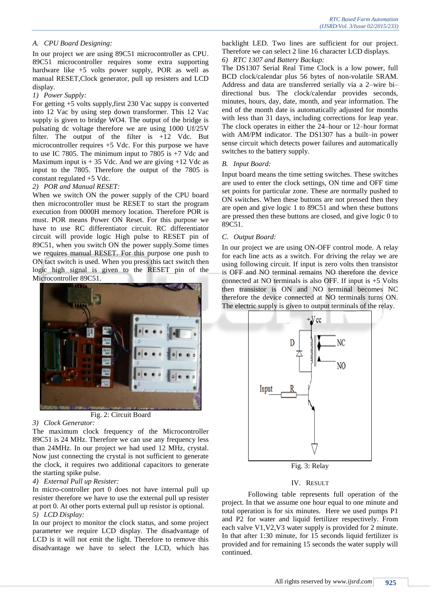#### *A. CPU Board Designing:*

In our project we are using 89C51 microcontroller as CPU. 89C51 microcontroller requires some extra supporting hardware like  $+5$  volts power supply, POR as well as manual RESET,Clock generator, pull up resisters and LCD display.

#### *1) Power Supply:*

For getting +5 volts supply,first 230 Vac suppy is converted into 12 Vac by using step down transformer. This 12 Vac supply is given to bridge WO4. The output of the bridge is pulsating dc voltage therefore we are using 1000 Uf/25V filter. The output of the filter is +12 Vdc. But microcontroller requires +5 Vdc. For this purpose we have to use IC 7805. The minimum input to 7805 is  $+7$  Vdc and Maximum input is  $+ 35$  Vdc. And we are giving  $+12$  Vdc as input to the 7805. Therefore the output of the 7805 is constant regulated +5 Vdc.

#### *2) POR and Manual RESET:*

When we switch ON the power supply of the CPU board then microcontroller must be RESET to start the program execution from 0000H memory location. Therefore POR is must. POR means Power ON Reset. For this purpose we have to use RC differentiator circuit. RC differentiator circuit will provide logic High pulse to RESET pin of 89C51, when you switch ON the power supply.Some times we requires manual RESET. For this purpose one push to ON tact switch is used. When you press this tact switch then logic high signal is given to the RESET pin of the Microcontroller 89C51.



Fig. 2: Circuit Board

#### *3) Clock Generator:*

The maximum clock frequency of the Microcontroller 89C51 is 24 MHz. Therefore we can use any frequency less than 24MHz. In our project we had used 12 MHz, crystal. Now just connecting the crystal is not sufficient to generate the clock, it requires two additional capacitors to generate the starting spike pulse.

#### *4) External Pull up Resister:*

In micro-controller port 0 does not have internal pull up resister therefore we have to use the external pull up resister at port 0. At other ports external pull up resistor is optional. *5) LCD Display:*

In our project to monitor the clock status, and some project parameter we require LCD display. The disadvantage of LCD is it will not emit the light. Therefore to remove this disadvantage we have to select the LCD, which has backlight LED. Two lines are sufficient for our project. Therefore we can select 2 line 16 character LCD displays. *6) RTC 1307 and Battery Backup:*

The DS1307 Serial Real Time Clock is a low power, full BCD clock/calendar plus 56 bytes of non-volatile SRAM. Address and data are transferred serially via a 2–wire bi– directional bus. The clock/calendar provides seconds, minutes, hours, day, date, month, and year information. The end of the month date is automatically adjusted for months with less than 31 days, including corrections for leap year. The clock operates in either the 24–hour or 12–hour format with AM/PM indicator. The DS1307 has a built–in power sense circuit which detects power failures and automatically switches to the battery supply.

#### *B. Input Board:*

Input board means the time setting switches. These switches are used to enter the clock settings, ON time and OFF time set points for particular zone. These are normally pushed to ON switches. When these buttons are not pressed then they are open and give logic 1 to 89C51 and when these buttons are pressed then these buttons are closed, and give logic 0 to 89C51.

#### *C. Output Board:*

In our project we are using ON-OFF control mode. A relay for each line acts as a switch. For driving the relay we are using following circuit. If input is zero volts then transistor is OFF and NO terminal remains NO therefore the device connected at NO terminals is also OFF. If input is +5 Volts then transistor is ON and NO terminal becomes NC therefore the device connected at NO terminals turns ON. The electric supply is given to output terminals of the relay.



Fig. 3: Relay

#### IV. RESULT

Following table represents full operation of the project. In that we assume one hour equal to one minute and total operation is for six minutes. Here we used pumps P1 and P2 for water and liquid fertilizer respectively. From each valve V1,V2,V3 water supply is provided for 2 minute. In that after 1:30 minute, for 15 seconds liquid fertilizer is provided and for remaining 15 seconds the water supply will continued.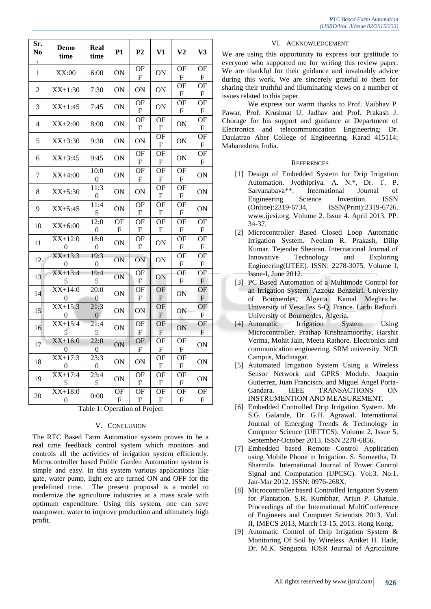|                                  | <b>RTC Based Farm Automation</b> |  |
|----------------------------------|----------------------------------|--|
| (IJSRD/Vol. 3/Issue 02/2015/233) |                                  |  |

| Sr.<br>N <sub>0</sub>         | <b>Demo</b><br>time           | Real<br>time             | P1                                     | P <sub>2</sub>                      | V1                                                  | V <sub>2</sub>                         | V3                              |  |  |
|-------------------------------|-------------------------------|--------------------------|----------------------------------------|-------------------------------------|-----------------------------------------------------|----------------------------------------|---------------------------------|--|--|
| 1                             | XX:00                         | 6:00                     | ON                                     | OF<br>F                             | ON                                                  | OF<br>F                                | OF<br>F                         |  |  |
| 2                             | $XX+1:30$                     | 7:30                     | ON                                     | ON                                  | ON                                                  | OF<br>${\bf F}$                        | OF<br>${\bf F}$                 |  |  |
| 3                             | $XX+1:45$                     | 7:45                     | ON                                     | <b>OF</b><br>${\bf F}$              | ON                                                  | <b>OF</b><br>${\bf F}$                 | <b>OF</b><br>${\bf F}$          |  |  |
| 4                             | $XX+2:00$                     | 8:00                     | ON                                     | OF<br>${\bf F}$                     | OF<br>${\bf F}$                                     | ON                                     | OF<br>${\bf F}$                 |  |  |
| 5                             | $XX+3:30$                     | 9:30                     | ON                                     | ON                                  | <b>OF</b><br>${\bf F}$                              | ON                                     | <b>OF</b><br>${\bf F}$          |  |  |
| 6                             | $XX+3:45$                     | 9:45                     | ON                                     | $\overline{\text{OF}}$<br>${\bf F}$ | OF<br>${\bf F}$                                     | ON                                     | OF<br>${\bf F}$                 |  |  |
| 7                             | $XX+4:00$                     | 10:0<br>0                | ON                                     | OF<br>${\bf F}$                     | OF<br>${\bf F}$                                     | OF<br>${\bf F}$                        | <b>ON</b>                       |  |  |
| 8                             | $XX+5:30$                     | 11:3<br>$\boldsymbol{0}$ | ON                                     | ON                                  | <b>OF</b><br>F                                      | <b>OF</b><br>$\boldsymbol{\mathrm{F}}$ | <b>ON</b>                       |  |  |
| 9                             | $XX+5:45$                     | 11:4<br>5                | ON                                     | $\overline{\text{OF}}$<br>${\bf F}$ | OF<br>${\bf F}$                                     | OF<br>${\bf F}$                        | ON                              |  |  |
| 10                            | $XX+6:00$                     | 12:0<br>$\boldsymbol{0}$ | <b>OF</b><br>${\bf F}$                 | <b>OF</b><br>${\bf F}$              | OF<br>${\bf F}$                                     | <b>OF</b><br>${\bf F}$                 | <b>OF</b><br>${\bf F}$          |  |  |
| 11                            | $\overline{XX+12:0}$<br>0     | 18:0<br>0                | ON                                     | OF<br>F                             | ON                                                  | OF<br>F                                | OF<br>${\bf F}$                 |  |  |
| 12                            | $XX+13:3$<br>0                | 19:3<br>0                | ON                                     | ON                                  | <b>ON</b>                                           | <b>OF</b><br>$\boldsymbol{\mathrm{F}}$ | <b>OF</b><br>${\bf F}$          |  |  |
| 13                            | $\overline{XX+13:4}$<br>5     | 19:4<br>5                | ON                                     | <b>OF</b><br>${\bf F}$              | ON                                                  | OF<br>$\boldsymbol{\mathrm{F}}$        | OF<br>$\boldsymbol{\mathrm{F}}$ |  |  |
| 14                            | $\overline{XX+14:0}$<br>0     | 20:0<br>0                | ON                                     | OF<br>${\bf F}$                     | OF<br>$\boldsymbol{\mathrm{F}}$                     | ON                                     | OF<br>${\bf F}$                 |  |  |
| 15                            | $XX+15:3$<br>$\boldsymbol{0}$ | 21:3<br>0                | ON                                     | ON                                  | $\overline{\text{OF}}$<br>$\boldsymbol{\mathsf{F}}$ | ON                                     | OF<br>$\boldsymbol{\mathrm{F}}$ |  |  |
| 16                            | $XX+15:4$<br>5                | 21:4<br>5                | ON                                     | OF<br>${\rm F}$                     | OF<br>$\boldsymbol{\mathrm{F}}$                     | ON                                     | OF<br>${\bf F}$                 |  |  |
| 17                            | $XX+16:0$<br>$\Omega$         | 22:0<br>0                | ON                                     | OF<br>${\bf F}$                     | OF<br>F                                             | <b>OF</b><br>${\bf F}$                 | ON                              |  |  |
| 18                            | $XX+17:3$<br>0                | 23:3<br>0                | ON                                     | ON                                  | OF<br>$\boldsymbol{\mathrm{F}}$                     | OF<br>F                                | ON                              |  |  |
| 19                            | $XX+17:4$<br>5                | 23:4<br>5                | ON                                     | OF<br>${\bf F}$                     | OF<br>${\bf F}$                                     | OF<br>${\bf F}$                        | ON                              |  |  |
| 20                            | $XX+18:0$<br>0                | 0:00                     | <b>OF</b><br>$\boldsymbol{\mathrm{F}}$ | <b>OF</b><br>${\bf F}$              | OF<br>F                                             | OF<br>${\bf F}$                        | OF<br>${\bf F}$                 |  |  |
| Table 1: Operation of Project |                               |                          |                                        |                                     |                                                     |                                        |                                 |  |  |

### V. CONCLUSION

The RTC Based Farm Automation system proves to be a real time feedback control system which monitors and controls all the activities of irrigation system efficiently. Microcontroller based Public Garden Automation system is simple and easy. In this system various applications like gate, water pump, light etc are turned ON and OFF for the predefined time. The present proposal is a model to modernize the agriculture industries at a mass scale with optimum expenditure. Using this system, one can save manpower, water to improve production and ultimately high profit.

#### VI. ACKNOWLEDGEMENT

We are using this opportunity to express our gratitude to everyone who supported me for writing this review paper. We are thankful for their guidance and invaluably advice during this work. We are sincerely grateful to them for sharing their truthful and illuminating views on a number of issues related to this paper.

We express our warm thanks to Prof. Vaibhav P. Pawar, Prof. Krushnat U. Jadhav and Prof. Prakash J. Chorage for his support and guidance at Department of Electronics and telecommunication Engineering; Dr. Daulatrao Aher College of Engineering, Karad 415114; Maharashtra, India.

### **REFERENCES**

- [1] Design of Embedded System for Drip Irrigation Automation. Jyothipriya. A. N.\*, Dr. T. P. Sarvanabava\*\*. International Journal of Engineering Science Invention. ISSN (Online):2319-6734, ISSN(Print):2319-6726. www.ijesi.org. Volume 2. Issue 4. April 2013. PP. 34-37.
- [2] Microcontroller Based Closed Loop Automatic Irrigation System. Neelam R. Prakash, Dilip Kumar, Tejender Sheoran. International Journal of Innovative Technology and Exploring Engineering(IJTEE). ISSN: 2278-3075, Volume I, Issue-I, June 2012.
- [3] PC Based Automation of a Multimode Control for an Irrigation System. Azzouz Benzekri. University of Bournerdes, Algeria. Kamal Meghriche. University of Vesailles S-Q, France. Larbi Refoufi. University of Bournerdes, Algeria.
- [4] Automatic Irrigation System Using Microcontroller. Prathap Krishnamoorthy, Harshit Verma, Mohit Jain, Meeta Rathore. Electronics and communication engineering, SRM university. NCR Campus, Modinagar.
- [5] Automated Irrigation System Using a Wireless Sensor Network and GPRS Module. Joaquin Gutierrez, Juan Francisco, and Miguel Angel Porta-Gandara. IEEE TRANSACTIONS ON INSTRUMENTION AND MEASUREMENT.
- [6] Embedded Controlled Drip Irrigation System. Mr. S.G. Galande, Dr. G.H. Agrawal. International Journal of Emerging Trends & Technology in Computer Science (IJETTCS). Volume 2, Issue 5, September-October 2013. ISSN 2278-6856.
- [7] Embedded based Remote Control Application using Mobile Phone in Irrigation. S. Sumeetha, D. Sharmila. International Journal of Power Control Signal and Computation (IJPCSC). Vol.3. No.1. Jan-Mar 2012. ISSN: 0976-268X.
- [8] Microcontroller based Controlled Irrigation System for Plantation. S.R. Kumbhar, Arjun P. Ghatule. Proceedings of the International MultiConference of Engineers and Computer Scientists 2013. Vol. II, IMECS 2013, March 13-15, 2013, Hong Kong.
- [9] Automatic Control of Drip Irrigation System & Monitoring Of Soil by Wireless. Aniket H. Hade, Dr. M.K. Sengupta. IOSR Journal of Agriculture